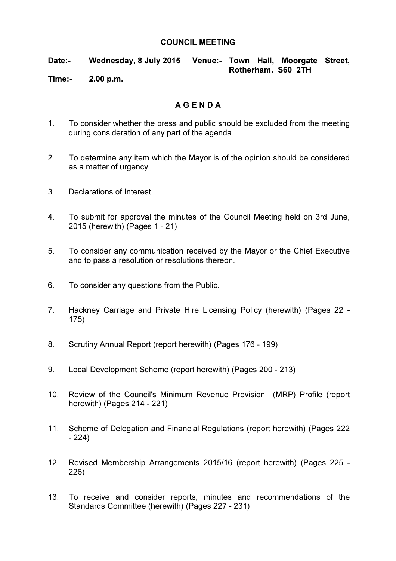## COUNCIL MEETING

Date:- Wednesday, 8 July 2015 Venue:- Town Hall, Moorgate Street, Rotherham. S60 2TH

Time:- 2.00 p.m.

## A G E N D A

- 1. To consider whether the press and public should be excluded from the meeting during consideration of any part of the agenda.
- 2. To determine any item which the Mayor is of the opinion should be considered as a matter of urgency
- 3. Declarations of Interest.
- 4. To submit for approval the minutes of the Council Meeting held on 3rd June, 2015 (herewith) (Pages 1 - 21)
- 5. To consider any communication received by the Mayor or the Chief Executive and to pass a resolution or resolutions thereon.
- 6. To consider any questions from the Public.
- 7. Hackney Carriage and Private Hire Licensing Policy (herewith) (Pages 22 175)
- 8. Scrutiny Annual Report (report herewith) (Pages 176 199)
- 9. Local Development Scheme (report herewith) (Pages 200 213)
- 10. Review of the Council's Minimum Revenue Provision (MRP) Profile (report herewith) (Pages 214 - 221)
- 11. Scheme of Delegation and Financial Regulations (report herewith) (Pages 222 - 224)
- 12. Revised Membership Arrangements 2015/16 (report herewith) (Pages 225 226)
- 13. To receive and consider reports, minutes and recommendations of the Standards Committee (herewith) (Pages 227 - 231)